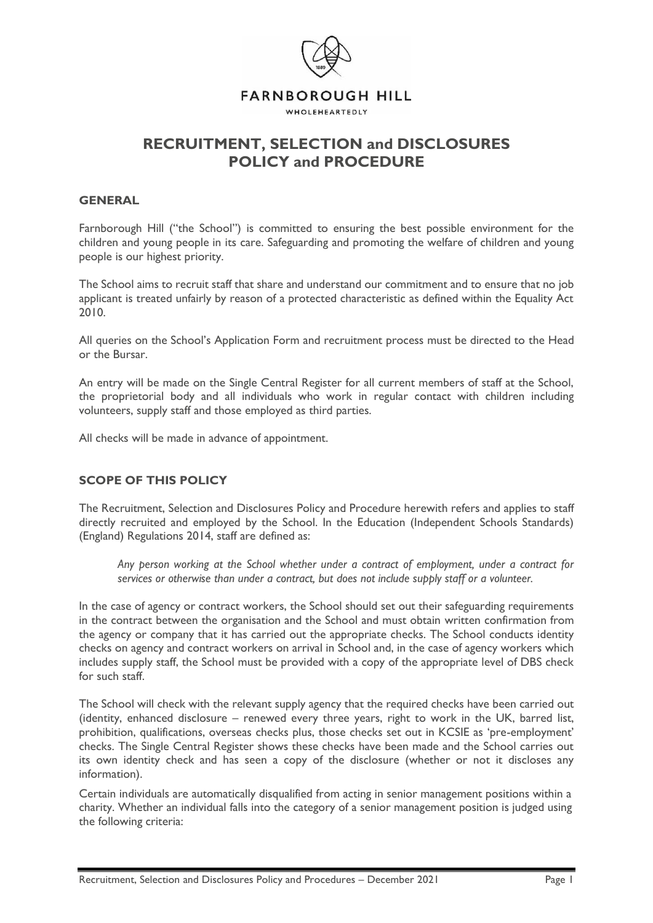

# **RECRUITMENT, SELECTION and DISCLOSURES POLICY and PROCEDURE**

#### **GENERAL**

Farnborough Hill ("the School") is committed to ensuring the best possible environment for the children and young people in its care. Safeguarding and promoting the welfare of children and young people is our highest priority.

The School aims to recruit staff that share and understand our commitment and to ensure that no job applicant is treated unfairly by reason of a protected characteristic as defined within the Equality Act 2010.

All queries on the School's Application Form and recruitment process must be directed to the Head or the Bursar.

An entry will be made on the Single Central Register for all current members of staff at the School, the proprietorial body and all individuals who work in regular contact with children including volunteers, supply staff and those employed as third parties.

All checks will be made in advance of appointment.

### **SCOPE OF THIS POLICY**

The Recruitment, Selection and Disclosures Policy and Procedure herewith refers and applies to staff directly recruited and employed by the School. In the Education (Independent Schools Standards) (England) Regulations 2014, staff are defined as:

*Any person working at the School whether under a contract of employment, under a contract for services or otherwise than under a contract, but does not include supply staff or a volunteer.*

In the case of agency or contract workers, the School should set out their safeguarding requirements in the contract between the organisation and the School and must obtain written confirmation from the agency or company that it has carried out the appropriate checks. The School conducts identity checks on agency and contract workers on arrival in School and, in the case of agency workers which includes supply staff, the School must be provided with a copy of the appropriate level of DBS check for such staff.

The School will check with the relevant supply agency that the required checks have been carried out (identity, enhanced disclosure – renewed every three years, right to work in the UK, barred list, prohibition, qualifications, overseas checks plus, those checks set out in KCSIE as 'pre-employment' checks. The Single Central Register shows these checks have been made and the School carries out its own identity check and has seen a copy of the disclosure (whether or not it discloses any information).

Certain individuals are automatically disqualified from acting in senior management positions within a charity. Whether an individual falls into the category of a senior management position is judged using the following criteria: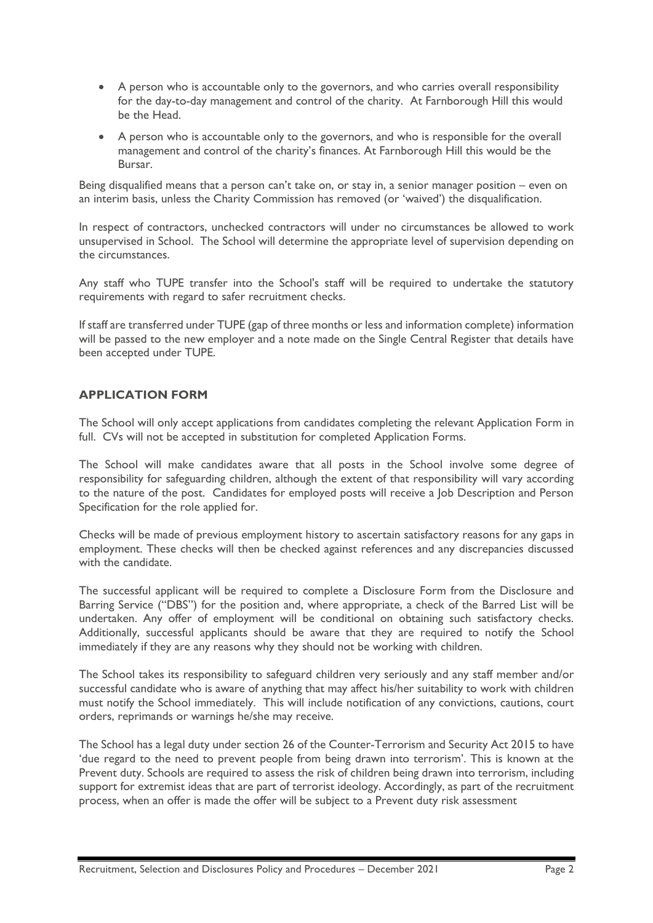- A person who is accountable only to the governors, and who carries overall responsibility for the day-to-day management and control of the charity. At Farnborough Hill this would be the Head.
- A person who is accountable only to the governors, and who is responsible for the overall management and control of the charity's finances. At Farnborough Hill this would be the Bursar.

Being disqualified means that a person can't take on, or stay in, a senior manager position – even on an interim basis, unless the Charity Commission has removed (or 'waived') the disqualification.

In respect of contractors, unchecked contractors will under no circumstances be allowed to work unsupervised in School. The School will determine the appropriate level of supervision depending on the circumstances.

Any staff who TUPE transfer into the School's staff will be required to undertake the statutory requirements with regard to safer recruitment checks.

If staff are transferred under TUPE (gap of three months or less and information complete) information will be passed to the new employer and a note made on the Single Central Register that details have been accepted under TUPE.

# **APPLICATION FORM**

The School will only accept applications from candidates completing the relevant Application Form in full. CVs will not be accepted in substitution for completed Application Forms.

The School will make candidates aware that all posts in the School involve some degree of responsibility for safeguarding children, although the extent of that responsibility will vary according to the nature of the post. Candidates for employed posts will receive a Job Description and Person Specification for the role applied for.

Checks will be made of previous employment history to ascertain satisfactory reasons for any gaps in employment. These checks will then be checked against references and any discrepancies discussed with the candidate.

The successful applicant will be required to complete a Disclosure Form from the Disclosure and Barring Service ("DBS") for the position and, where appropriate, a check of the Barred List will be undertaken. Any offer of employment will be conditional on obtaining such satisfactory checks. Additionally, successful applicants should be aware that they are required to notify the School immediately if they are any reasons why they should not be working with children.

The School takes its responsibility to safeguard children very seriously and any staff member and/or successful candidate who is aware of anything that may affect his/her suitability to work with children must notify the School immediately. This will include notification of any convictions, cautions, court orders, reprimands or warnings he/she may receive.

The School has a legal duty under section 26 of the Counter-Terrorism and Security Act 2015 to have 'due regard to the need to prevent people from being drawn into terrorism'. This is known at the Prevent duty. Schools are required to assess the risk of children being drawn into terrorism, including support for extremist ideas that are part of terrorist ideology. Accordingly, as part of the recruitment process, when an offer is made the offer will be subject to a Prevent duty risk assessment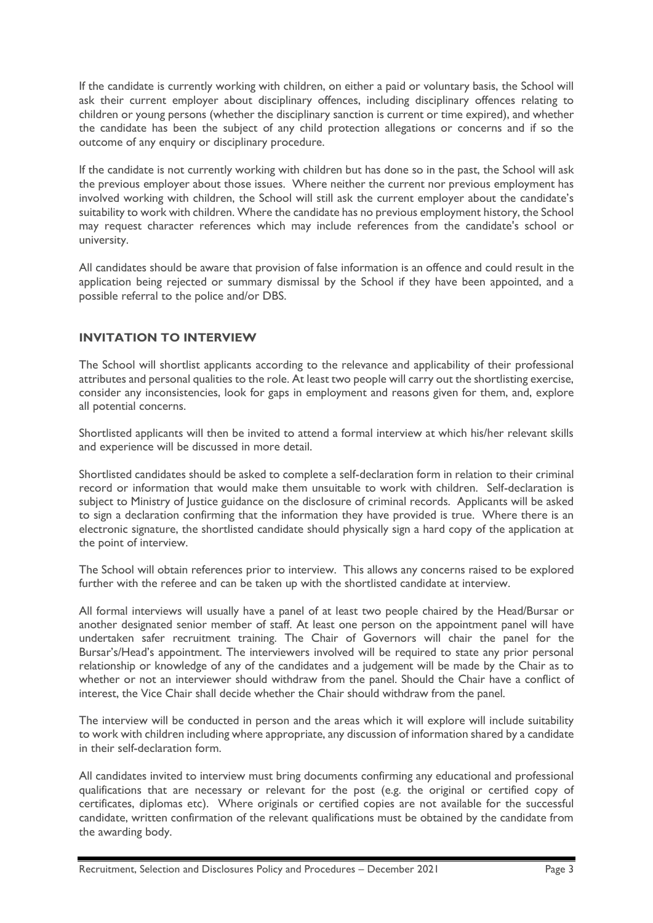If the candidate is currently working with children, on either a paid or voluntary basis, the School will ask their current employer about disciplinary offences, including disciplinary offences relating to children or young persons (whether the disciplinary sanction is current or time expired), and whether the candidate has been the subject of any child protection allegations or concerns and if so the outcome of any enquiry or disciplinary procedure.

If the candidate is not currently working with children but has done so in the past, the School will ask the previous employer about those issues. Where neither the current nor previous employment has involved working with children, the School will still ask the current employer about the candidate's suitability to work with children. Where the candidate has no previous employment history, the School may request character references which may include references from the candidate's school or university.

All candidates should be aware that provision of false information is an offence and could result in the application being rejected or summary dismissal by the School if they have been appointed, and a possible referral to the police and/or DBS.

# **INVITATION TO INTERVIEW**

The School will shortlist applicants according to the relevance and applicability of their professional attributes and personal qualities to the role. At least two people will carry out the shortlisting exercise, consider any inconsistencies, look for gaps in employment and reasons given for them, and, explore all potential concerns.

Shortlisted applicants will then be invited to attend a formal interview at which his/her relevant skills and experience will be discussed in more detail.

Shortlisted candidates should be asked to complete a self-declaration form in relation to their criminal record or information that would make them unsuitable to work with children. Self-declaration is subject to Ministry of Justice guidance on the disclosure of criminal records. Applicants will be asked to sign a declaration confirming that the information they have provided is true. Where there is an electronic signature, the shortlisted candidate should physically sign a hard copy of the application at the point of interview.

The School will obtain references prior to interview. This allows any concerns raised to be explored further with the referee and can be taken up with the shortlisted candidate at interview.

All formal interviews will usually have a panel of at least two people chaired by the Head/Bursar or another designated senior member of staff. At least one person on the appointment panel will have undertaken safer recruitment training. The Chair of Governors will chair the panel for the Bursar's/Head's appointment. The interviewers involved will be required to state any prior personal relationship or knowledge of any of the candidates and a judgement will be made by the Chair as to whether or not an interviewer should withdraw from the panel. Should the Chair have a conflict of interest, the Vice Chair shall decide whether the Chair should withdraw from the panel.

The interview will be conducted in person and the areas which it will explore will include suitability to work with children including where appropriate, any discussion of information shared by a candidate in their self-declaration form.

All candidates invited to interview must bring documents confirming any educational and professional qualifications that are necessary or relevant for the post (e.g. the original or certified copy of certificates, diplomas etc). Where originals or certified copies are not available for the successful candidate, written confirmation of the relevant qualifications must be obtained by the candidate from the awarding body.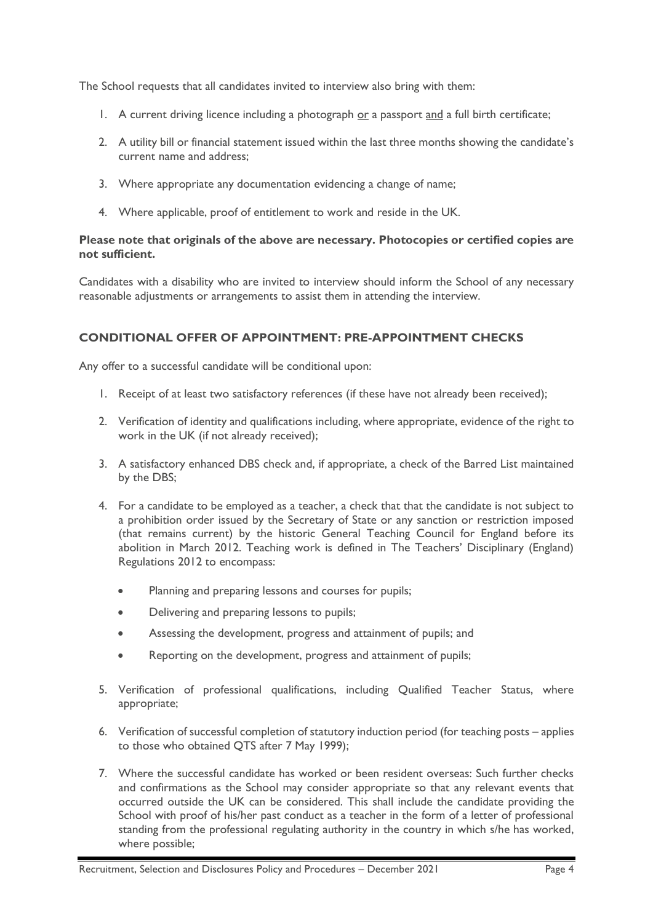The School requests that all candidates invited to interview also bring with them:

- 1. A current driving licence including a photograph or a passport and a full birth certificate;
- 2. A utility bill or financial statement issued within the last three months showing the candidate's current name and address;
- 3. Where appropriate any documentation evidencing a change of name;
- 4. Where applicable, proof of entitlement to work and reside in the UK.

#### **Please note that originals of the above are necessary. Photocopies or certified copies are not sufficient.**

Candidates with a disability who are invited to interview should inform the School of any necessary reasonable adjustments or arrangements to assist them in attending the interview.

# **CONDITIONAL OFFER OF APPOINTMENT: PRE-APPOINTMENT CHECKS**

Any offer to a successful candidate will be conditional upon:

- 1. Receipt of at least two satisfactory references (if these have not already been received);
- 2. Verification of identity and qualifications including, where appropriate, evidence of the right to work in the UK (if not already received);
- 3. A satisfactory enhanced DBS check and, if appropriate, a check of the Barred List maintained by the DBS;
- 4. For a candidate to be employed as a teacher, a check that that the candidate is not subject to a prohibition order issued by the Secretary of State or any sanction or restriction imposed (that remains current) by the historic General Teaching Council for England before its abolition in March 2012. Teaching work is defined in The Teachers' Disciplinary (England) Regulations 2012 to encompass:
	- Planning and preparing lessons and courses for pupils;
	- Delivering and preparing lessons to pupils;
	- Assessing the development, progress and attainment of pupils; and
	- Reporting on the development, progress and attainment of pupils;
- 5. Verification of professional qualifications, including Qualified Teacher Status, where appropriate;
- 6. Verification of successful completion of statutory induction period (for teaching posts applies to those who obtained QTS after 7 May 1999);
- 7. Where the successful candidate has worked or been resident overseas: Such further checks and confirmations as the School may consider appropriate so that any relevant events that occurred outside the UK can be considered. This shall include the candidate providing the School with proof of his/her past conduct as a teacher in the form of a letter of professional standing from the professional regulating authority in the country in which s/he has worked, where possible;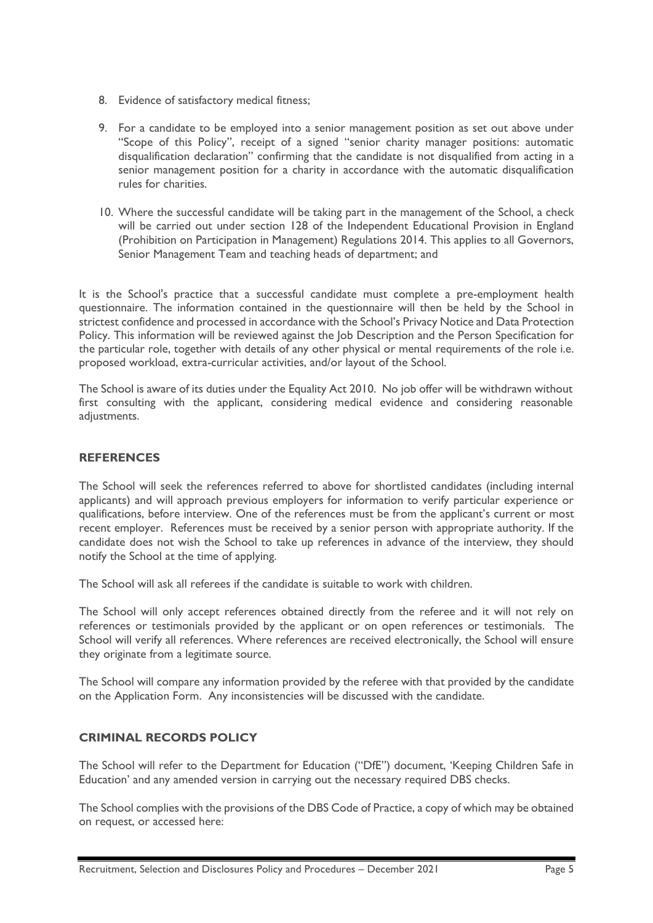- 8. Evidence of satisfactory medical fitness;
- 9. For a candidate to be employed into a senior management position as set out above under "Scope of this Policy", receipt of a signed "senior charity manager positions: automatic disqualification declaration" confirming that the candidate is not disqualified from acting in a senior management position for a charity in accordance with the automatic disqualification rules for charities.
- 10. Where the successful candidate will be taking part in the management of the School, a check will be carried out under section 128 of the Independent Educational Provision in England (Prohibition on Participation in Management) Regulations 2014. This applies to all Governors, Senior Management Team and teaching heads of department; and

It is the School's practice that a successful candidate must complete a pre-employment health questionnaire. The information contained in the questionnaire will then be held by the School in strictest confidence and processed in accordance with the School's Privacy Notice and Data Protection Policy. This information will be reviewed against the Job Description and the Person Specification for the particular role, together with details of any other physical or mental requirements of the role i.e. proposed workload, extra-curricular activities, and/or layout of the School.

The School is aware of its duties under the Equality Act 2010. No job offer will be withdrawn without first consulting with the applicant, considering medical evidence and considering reasonable adjustments.

#### **REFERENCES**

The School will seek the references referred to above for shortlisted candidates (including internal applicants) and will approach previous employers for information to verify particular experience or qualifications, before interview. One of the references must be from the applicant's current or most recent employer. References must be received by a senior person with appropriate authority. If the candidate does not wish the School to take up references in advance of the interview, they should notify the School at the time of applying.

The School will ask all referees if the candidate is suitable to work with children.

The School will only accept references obtained directly from the referee and it will not rely on references or testimonials provided by the applicant or on open references or testimonials. The School will verify all references. Where references are received electronically, the School will ensure they originate from a legitimate source.

The School will compare any information provided by the referee with that provided by the candidate on the Application Form. Any inconsistencies will be discussed with the candidate.

# **CRIMINAL RECORDS POLICY**

The School will refer to the Department for Education ("DfE") document, 'Keeping Children Safe in Education' and any amended version in carrying out the necessary required DBS checks.

The School complies with the provisions of the DBS Code of Practice, a copy of which may be obtained on request, or accessed here: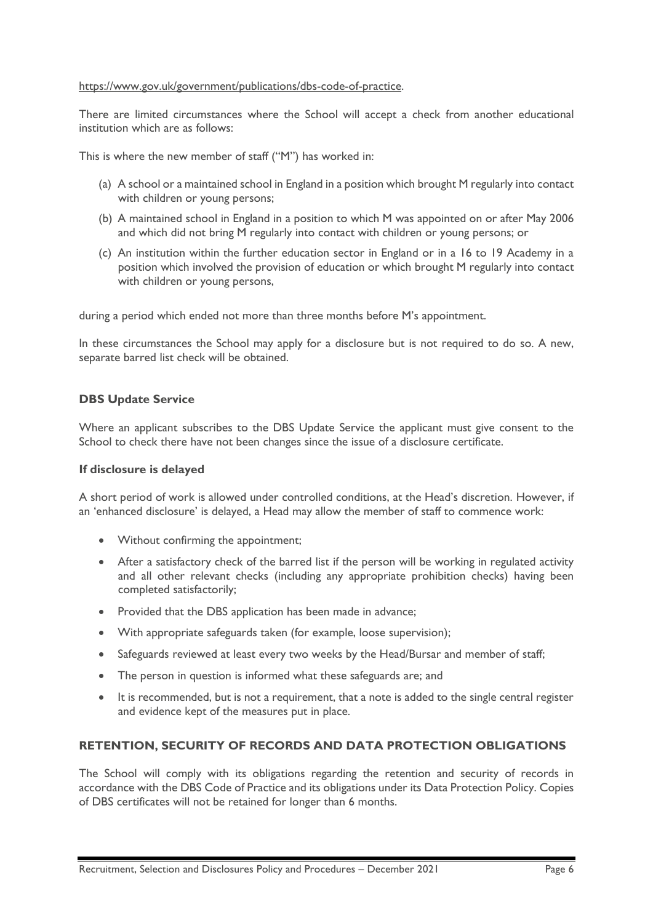#### [https://www.gov.uk/government/publications/dbs-code-of-practice.](https://www.gov.uk/government/publications/dbs-code-of-practice)

There are limited circumstances where the School will accept a check from another educational institution which are as follows:

This is where the new member of staff ("M") has worked in:

- (a) A school or a maintained school in England in a position which brought M regularly into contact with children or young persons;
- (b) A maintained school in England in a position to which M was appointed on or after May 2006 and which did not bring M regularly into contact with children or young persons; or
- (c) An institution within the further education sector in England or in a 16 to 19 Academy in a position which involved the provision of education or which brought M regularly into contact with children or young persons,

during a period which ended not more than three months before M's appointment.

In these circumstances the School may apply for a disclosure but is not required to do so. A new, separate barred list check will be obtained.

### **DBS Update Service**

Where an applicant subscribes to the DBS Update Service the applicant must give consent to the School to check there have not been changes since the issue of a disclosure certificate.

#### **If disclosure is delayed**

A short period of work is allowed under controlled conditions, at the Head's discretion. However, if an 'enhanced disclosure' is delayed, a Head may allow the member of staff to commence work:

- Without confirming the appointment;
- After a satisfactory check of the barred list if the person will be working in regulated activity and all other relevant checks (including any appropriate prohibition checks) having been completed satisfactorily;
- Provided that the DBS application has been made in advance;
- With appropriate safeguards taken (for example, loose supervision);
- Safeguards reviewed at least every two weeks by the Head/Bursar and member of staff;
- The person in question is informed what these safeguards are; and
- It is recommended, but is not a requirement, that a note is added to the single central register and evidence kept of the measures put in place.

### **RETENTION, SECURITY OF RECORDS AND DATA PROTECTION OBLIGATIONS**

The School will comply with its obligations regarding the retention and security of records in accordance with the DBS Code of Practice and its obligations under its Data Protection Policy. Copies of DBS certificates will not be retained for longer than 6 months.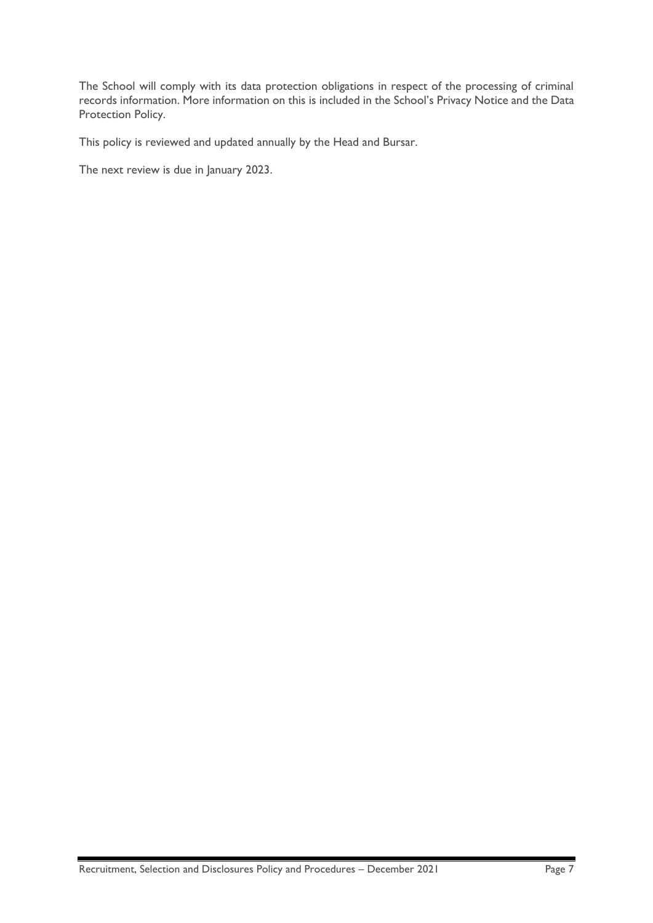The School will comply with its data protection obligations in respect of the processing of criminal records information. More information on this is included in the School's Privacy Notice and the Data Protection Policy.

This policy is reviewed and updated annually by the Head and Bursar.

The next review is due in January 2023.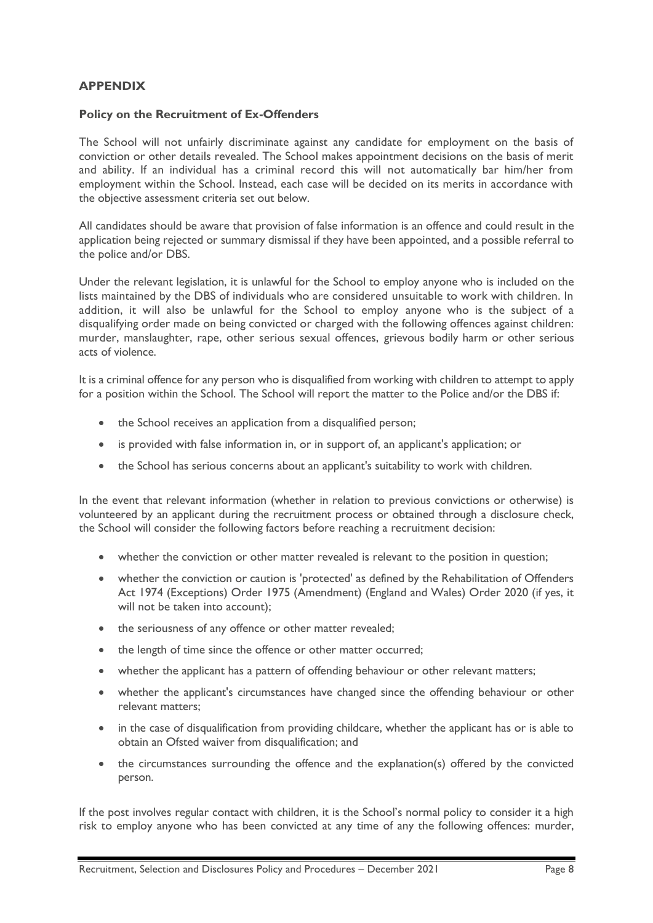## **APPENDIX**

#### **Policy on the Recruitment of Ex-Offenders**

The School will not unfairly discriminate against any candidate for employment on the basis of conviction or other details revealed. The School makes appointment decisions on the basis of merit and ability. If an individual has a criminal record this will not automatically bar him/her from employment within the School. Instead, each case will be decided on its merits in accordance with the objective assessment criteria set out below.

All candidates should be aware that provision of false information is an offence and could result in the application being rejected or summary dismissal if they have been appointed, and a possible referral to the police and/or DBS.

Under the relevant legislation, it is unlawful for the School to employ anyone who is included on the lists maintained by the DBS of individuals who are considered unsuitable to work with children. In addition, it will also be unlawful for the School to employ anyone who is the subject of a disqualifying order made on being convicted or charged with the following offences against children: murder, manslaughter, rape, other serious sexual offences, grievous bodily harm or other serious acts of violence.

It is a criminal offence for any person who is disqualified from working with children to attempt to apply for a position within the School. The School will report the matter to the Police and/or the DBS if:

- the School receives an application from a disqualified person;
- is provided with false information in, or in support of, an applicant's application; or
- the School has serious concerns about an applicant's suitability to work with children.

In the event that relevant information (whether in relation to previous convictions or otherwise) is volunteered by an applicant during the recruitment process or obtained through a disclosure check, the School will consider the following factors before reaching a recruitment decision:

- whether the conviction or other matter revealed is relevant to the position in question;
- whether the conviction or caution is 'protected' as defined by the Rehabilitation of Offenders Act 1974 (Exceptions) Order 1975 (Amendment) (England and Wales) Order 2020 (if yes, it will not be taken into account);
- the seriousness of any offence or other matter revealed;
- the length of time since the offence or other matter occurred;
- whether the applicant has a pattern of offending behaviour or other relevant matters;
- whether the applicant's circumstances have changed since the offending behaviour or other relevant matters;
- in the case of disqualification from providing childcare, whether the applicant has or is able to obtain an Ofsted waiver from disqualification; and
- the circumstances surrounding the offence and the explanation(s) offered by the convicted person.

If the post involves regular contact with children, it is the School's normal policy to consider it a high risk to employ anyone who has been convicted at any time of any the following offences: murder,